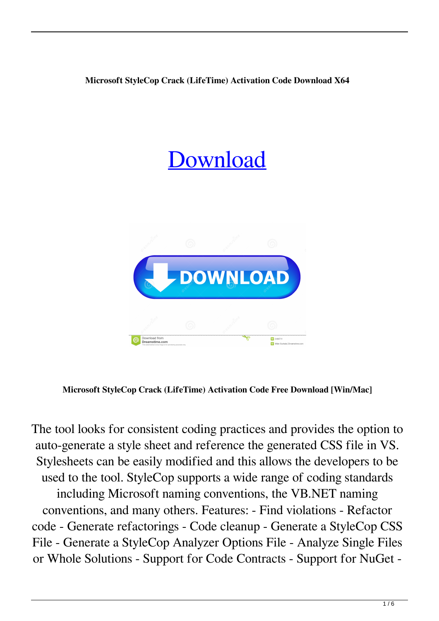## **Microsoft StyleCop Crack (LifeTime) Activation Code Download X64**





**Microsoft StyleCop Crack (LifeTime) Activation Code Free Download [Win/Mac]**

The tool looks for consistent coding practices and provides the option to auto-generate a style sheet and reference the generated CSS file in VS. Stylesheets can be easily modified and this allows the developers to be used to the tool. StyleCop supports a wide range of coding standards including Microsoft naming conventions, the VB.NET naming conventions, and many others. Features: - Find violations - Refactor code - Generate refactorings - Code cleanup - Generate a StyleCop CSS File - Generate a StyleCop Analyzer Options File - Analyze Single Files or Whole Solutions - Support for Code Contracts - Support for NuGet -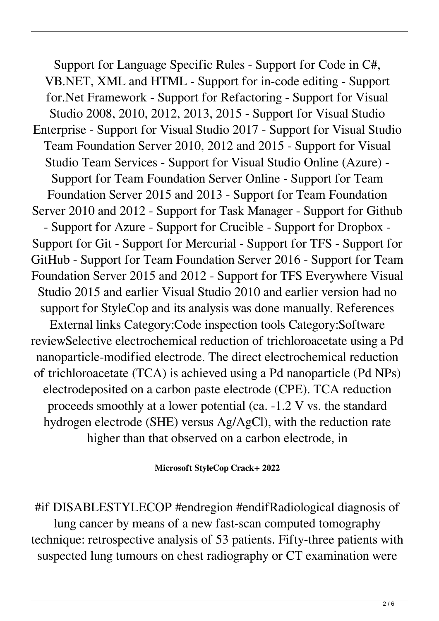Support for Language Specific Rules - Support for Code in C#, VB.NET, XML and HTML - Support for in-code editing - Support for.Net Framework - Support for Refactoring - Support for Visual Studio 2008, 2010, 2012, 2013, 2015 - Support for Visual Studio Enterprise - Support for Visual Studio 2017 - Support for Visual Studio Team Foundation Server 2010, 2012 and 2015 - Support for Visual Studio Team Services - Support for Visual Studio Online (Azure) - Support for Team Foundation Server Online - Support for Team Foundation Server 2015 and 2013 - Support for Team Foundation Server 2010 and 2012 - Support for Task Manager - Support for Github - Support for Azure - Support for Crucible - Support for Dropbox - Support for Git - Support for Mercurial - Support for TFS - Support for GitHub - Support for Team Foundation Server 2016 - Support for Team Foundation Server 2015 and 2012 - Support for TFS Everywhere Visual Studio 2015 and earlier Visual Studio 2010 and earlier version had no support for StyleCop and its analysis was done manually. References External links Category:Code inspection tools Category:Software reviewSelective electrochemical reduction of trichloroacetate using a Pd nanoparticle-modified electrode. The direct electrochemical reduction of trichloroacetate (TCA) is achieved using a Pd nanoparticle (Pd NPs) electrodeposited on a carbon paste electrode (CPE). TCA reduction proceeds smoothly at a lower potential (ca. -1.2 V vs. the standard hydrogen electrode (SHE) versus Ag/AgCl), with the reduction rate higher than that observed on a carbon electrode, in

**Microsoft StyleCop Crack+ 2022**

#if DISABLESTYLECOP #endregion #endifRadiological diagnosis of lung cancer by means of a new fast-scan computed tomography technique: retrospective analysis of 53 patients. Fifty-three patients with suspected lung tumours on chest radiography or CT examination were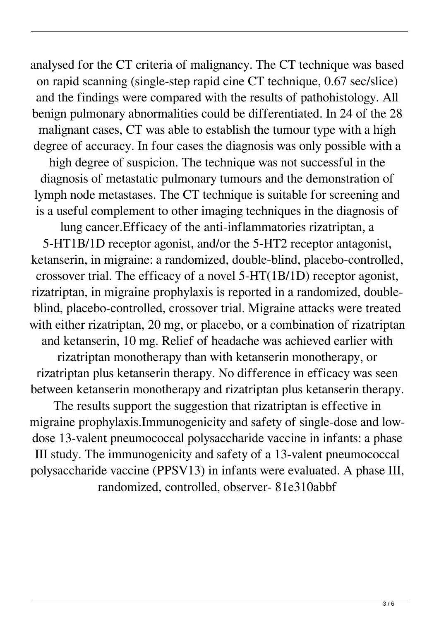analysed for the CT criteria of malignancy. The CT technique was based on rapid scanning (single-step rapid cine CT technique, 0.67 sec/slice) and the findings were compared with the results of pathohistology. All benign pulmonary abnormalities could be differentiated. In 24 of the 28 malignant cases, CT was able to establish the tumour type with a high degree of accuracy. In four cases the diagnosis was only possible with a high degree of suspicion. The technique was not successful in the diagnosis of metastatic pulmonary tumours and the demonstration of lymph node metastases. The CT technique is suitable for screening and is a useful complement to other imaging techniques in the diagnosis of

lung cancer.Efficacy of the anti-inflammatories rizatriptan, a 5-HT1B/1D receptor agonist, and/or the 5-HT2 receptor antagonist, ketanserin, in migraine: a randomized, double-blind, placebo-controlled, crossover trial. The efficacy of a novel 5-HT(1B/1D) receptor agonist, rizatriptan, in migraine prophylaxis is reported in a randomized, doubleblind, placebo-controlled, crossover trial. Migraine attacks were treated with either rizatriptan, 20 mg, or placebo, or a combination of rizatriptan and ketanserin, 10 mg. Relief of headache was achieved earlier with rizatriptan monotherapy than with ketanserin monotherapy, or rizatriptan plus ketanserin therapy. No difference in efficacy was seen between ketanserin monotherapy and rizatriptan plus ketanserin therapy.

The results support the suggestion that rizatriptan is effective in migraine prophylaxis.Immunogenicity and safety of single-dose and lowdose 13-valent pneumococcal polysaccharide vaccine in infants: a phase III study. The immunogenicity and safety of a 13-valent pneumococcal polysaccharide vaccine (PPSV13) in infants were evaluated. A phase III, randomized, controlled, observer- 81e310abbf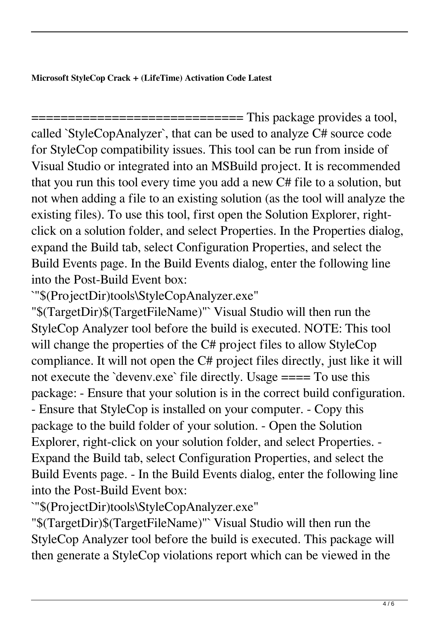**Microsoft StyleCop Crack + (LifeTime) Activation Code Latest**

============================= This package provides a tool, called `StyleCopAnalyzer`, that can be used to analyze C# source code for StyleCop compatibility issues. This tool can be run from inside of Visual Studio or integrated into an MSBuild project. It is recommended that you run this tool every time you add a new C# file to a solution, but not when adding a file to an existing solution (as the tool will analyze the existing files). To use this tool, first open the Solution Explorer, rightclick on a solution folder, and select Properties. In the Properties dialog, expand the Build tab, select Configuration Properties, and select the Build Events page. In the Build Events dialog, enter the following line into the Post-Build Event box:

`"\$(ProjectDir)tools\StyleCopAnalyzer.exe"

"\$(TargetDir)\$(TargetFileName)"` Visual Studio will then run the StyleCop Analyzer tool before the build is executed. NOTE: This tool will change the properties of the C# project files to allow StyleCop compliance. It will not open the C# project files directly, just like it will not execute the `devenv.exe` file directly. Usage ==== To use this package: - Ensure that your solution is in the correct build configuration. - Ensure that StyleCop is installed on your computer. - Copy this package to the build folder of your solution. - Open the Solution Explorer, right-click on your solution folder, and select Properties. - Expand the Build tab, select Configuration Properties, and select the Build Events page. - In the Build Events dialog, enter the following line into the Post-Build Event box:

`"\$(ProjectDir)tools\StyleCopAnalyzer.exe"

"\$(TargetDir)\$(TargetFileName)"` Visual Studio will then run the StyleCop Analyzer tool before the build is executed. This package will then generate a StyleCop violations report which can be viewed in the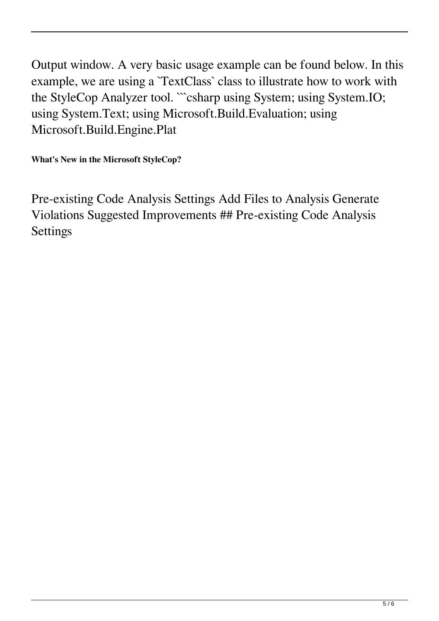Output window. A very basic usage example can be found below. In this example, we are using a `TextClass` class to illustrate how to work with the StyleCop Analyzer tool. "`csharp using System; using System.IO; using System.Text; using Microsoft.Build.Evaluation; using Microsoft.Build.Engine.Plat

**What's New in the Microsoft StyleCop?**

Pre-existing Code Analysis Settings Add Files to Analysis Generate Violations Suggested Improvements ## Pre-existing Code Analysis Settings